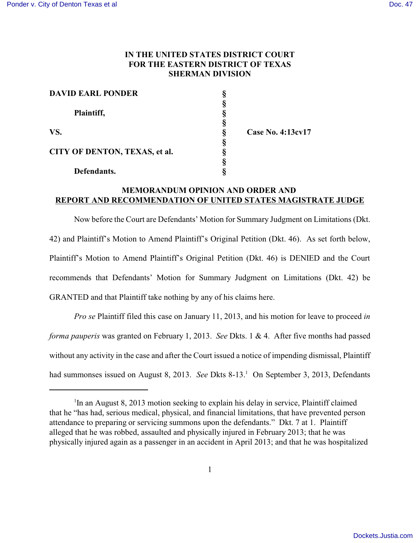# **IN THE UNITED STATES DISTRICT COURT FOR THE EASTERN DISTRICT OF TEXAS SHERMAN DIVISION**

| <b>DAVID EARL PONDER</b>      |   |                   |
|-------------------------------|---|-------------------|
| Plaintiff,                    |   |                   |
|                               |   |                   |
|                               |   |                   |
| VS.                           | 8 | Case No. 4:13cv17 |
|                               |   |                   |
| CITY OF DENTON, TEXAS, et al. |   |                   |
|                               |   |                   |
| Defendants.                   |   |                   |

## **MEMORANDUM OPINION AND ORDER AND REPORT AND RECOMMENDATION OF UNITED STATES MAGISTRATE JUDGE**

Now before the Court are Defendants' Motion for Summary Judgment on Limitations (Dkt. 42) and Plaintiff's Motion to Amend Plaintiff's Original Petition (Dkt. 46). As set forth below, Plaintiff's Motion to Amend Plaintiff's Original Petition (Dkt. 46) is DENIED and the Court recommends that Defendants' Motion for Summary Judgment on Limitations (Dkt. 42) be GRANTED and that Plaintiff take nothing by any of his claims here.

*Pro se* Plaintiff filed this case on January 11, 2013, and his motion for leave to proceed *in forma pauperis* was granted on February 1, 2013. *See* Dkts. 1 & 4. After five months had passed without any activity in the case and after the Court issued a notice of impending dismissal, Plaintiff had summonses issued on August 8, 2013. *See* Dkts 8-13.<sup>1</sup> On September 3, 2013, Defendants

<sup>&</sup>lt;sup>1</sup>In an August 8, 2013 motion seeking to explain his delay in service, Plaintiff claimed that he "has had, serious medical, physical, and financial limitations, that have prevented person attendance to preparing or servicing summons upon the defendants." Dkt. 7 at 1. Plaintiff alleged that he was robbed, assaulted and physically injured in February 2013; that he was physically injured again as a passenger in an accident in April 2013; and that he was hospitalized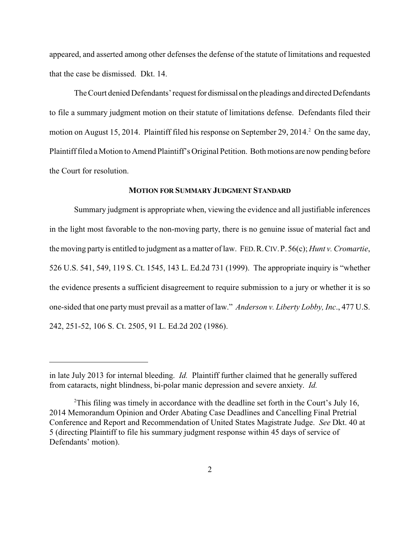appeared, and asserted among other defenses the defense of the statute of limitations and requested that the case be dismissed. Dkt. 14.

The Court denied Defendants' request for dismissal on the pleadings and directed Defendants to file a summary judgment motion on their statute of limitations defense. Defendants filed their motion on August 15, 2014. Plaintiff filed his response on September 29, 2014.<sup>2</sup> On the same day, Plaintiff filed a Motion to Amend Plaintiff's Original Petition. Both motions are now pending before the Court for resolution.

### **MOTION FOR SUMMARY JUDGMENT STANDARD**

Summary judgment is appropriate when, viewing the evidence and all justifiable inferences in the light most favorable to the non-moving party, there is no genuine issue of material fact and the moving party is entitled to judgment as a matter of law. FED.R.CIV.P.56(c); *Hunt v. Cromartie*, 526 U.S. 541, 549, 119 S. Ct. 1545, 143 L. Ed.2d 731 (1999). The appropriate inquiry is "whether the evidence presents a sufficient disagreement to require submission to a jury or whether it is so one-sided that one party must prevail as a matter of law." *Anderson v. Liberty Lobby, Inc*., 477 U.S. 242, 251-52, 106 S. Ct. 2505, 91 L. Ed.2d 202 (1986).

in late July 2013 for internal bleeding. *Id.* Plaintiff further claimed that he generally suffered from cataracts, night blindness, bi-polar manic depression and severe anxiety. *Id.*

<sup>&</sup>lt;sup>2</sup>This filing was timely in accordance with the deadline set forth in the Court's July 16, 2014 Memorandum Opinion and Order Abating Case Deadlines and Cancelling Final Pretrial Conference and Report and Recommendation of United States Magistrate Judge. *See* Dkt. 40 at 5 (directing Plaintiff to file his summary judgment response within 45 days of service of Defendants' motion).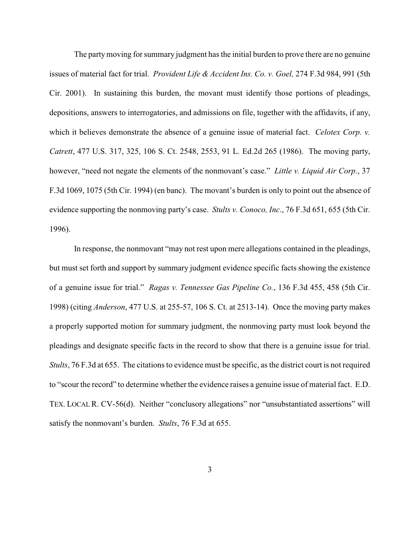The party moving for summary judgment has the initial burden to prove there are no genuine issues of material fact for trial. *Provident Life & Accident Ins. Co. v. Goel,* 274 F.3d 984, 991 (5th Cir. 2001). In sustaining this burden, the movant must identify those portions of pleadings, depositions, answers to interrogatories, and admissions on file, together with the affidavits, if any, which it believes demonstrate the absence of a genuine issue of material fact. *Celotex Corp. v. Catrett*, 477 U.S. 317, 325, 106 S. Ct. 2548, 2553, 91 L. Ed.2d 265 (1986). The moving party, however, "need not negate the elements of the nonmovant's case." *Little v. Liquid Air Corp*., 37 F.3d 1069, 1075 (5th Cir. 1994) (en banc). The movant's burden is only to point out the absence of evidence supporting the nonmoving party's case. *Stults v. Conoco, Inc*., 76 F.3d 651, 655 (5th Cir. 1996).

In response, the nonmovant "may not rest upon mere allegations contained in the pleadings, but must set forth and support by summary judgment evidence specific facts showing the existence of a genuine issue for trial." *Ragas v. Tennessee Gas Pipeline Co.*, 136 F.3d 455, 458 (5th Cir. 1998) (citing *Anderson*, 477 U.S. at 255-57, 106 S. Ct. at 2513-14). Once the moving party makes a properly supported motion for summary judgment, the nonmoving party must look beyond the pleadings and designate specific facts in the record to show that there is a genuine issue for trial. *Stults*, 76 F.3d at 655. The citations to evidence must be specific, as the district court is not required to "scour the record" to determine whether the evidence raises a genuine issue of material fact. E.D. TEX. LOCAL R. CV-56(d). Neither "conclusory allegations" nor "unsubstantiated assertions" will satisfy the nonmovant's burden. *Stults*, 76 F.3d at 655.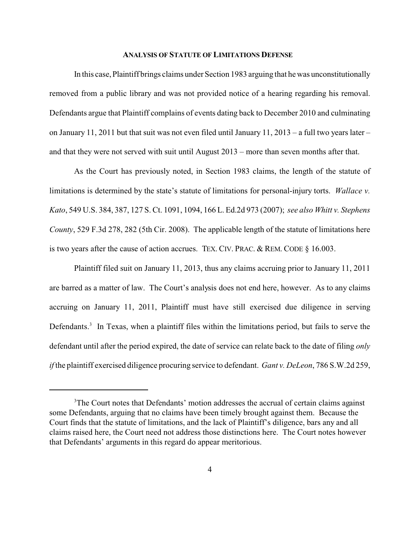#### **ANALYSIS OF STATUTE OF LIMITATIONS DEFENSE**

In this case, Plaintiff brings claims under Section 1983 arguing that he was unconstitutionally removed from a public library and was not provided notice of a hearing regarding his removal. Defendants argue that Plaintiff complains of events dating back to December 2010 and culminating on January 11, 2011 but that suit was not even filed until January 11, 2013 – a full two years later – and that they were not served with suit until August 2013 – more than seven months after that.

As the Court has previously noted, in Section 1983 claims, the length of the statute of limitations is determined by the state's statute of limitations for personal-injury torts. *Wallace v. Kato*, 549 U.S. 384, 387, 127 S. Ct. 1091, 1094, 166 L. Ed.2d 973 (2007); *see also Whitt v. Stephens County*, 529 F.3d 278, 282 (5th Cir. 2008). The applicable length of the statute of limitations here is two years after the cause of action accrues. TEX. CIV. PRAC. & REM. CODE § 16.003.

Plaintiff filed suit on January 11, 2013, thus any claims accruing prior to January 11, 2011 are barred as a matter of law. The Court's analysis does not end here, however. As to any claims accruing on January 11, 2011, Plaintiff must have still exercised due diligence in serving Defendants.<sup>3</sup> In Texas, when a plaintiff files within the limitations period, but fails to serve the defendant until after the period expired, the date of service can relate back to the date of filing *only if* the plaintiff exercised diligence procuring service to defendant. *Gant v. DeLeon*, 786 S.W.2d 259,

<sup>&</sup>lt;sup>3</sup>The Court notes that Defendants' motion addresses the accrual of certain claims against some Defendants, arguing that no claims have been timely brought against them. Because the Court finds that the statute of limitations, and the lack of Plaintiff's diligence, bars any and all claims raised here, the Court need not address those distinctions here. The Court notes however that Defendants' arguments in this regard do appear meritorious.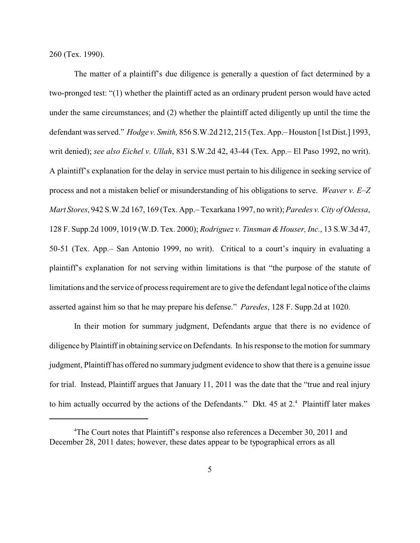260 (Tex. 1990).

The matter of a plaintiff's due diligence is generally a question of fact determined by a two-pronged test: "(1) whether the plaintiff acted as an ordinary prudent person would have acted under the same circumstances; and (2) whether the plaintiff acted diligently up until the time the defendant was served." *Hodge v. Smith,* 856 S.W.2d 212, 215 (Tex. App.– Houston [1st Dist.] 1993, writ denied); *see also Eichel v. Ullah*, 831 S.W.2d 42, 43-44 (Tex. App.– El Paso 1992, no writ). A plaintiff's explanation for the delay in service must pertain to his diligence in seeking service of process and not a mistaken belief or misunderstanding of his obligations to serve. *Weaver v. E–Z Mart Stores*, 942 S.W.2d 167, 169 (Tex. App.– Texarkana 1997, no writ); *Paredes v. City of Odessa*, 128 F. Supp.2d 1009, 1019 (W.D. Tex. 2000); *Rodriguez v. Tinsman &Houser, Inc.*, 13 S.W.3d 47, 50-51 (Tex. App.– San Antonio 1999, no writ). Critical to a court's inquiry in evaluating a plaintiff's explanation for not serving within limitations is that "the purpose of the statute of limitations and the service of process requirement are to give the defendant legal notice of the claims asserted against him so that he may prepare his defense." *Paredes*, 128 F. Supp.2d at 1020.

In their motion for summary judgment, Defendants argue that there is no evidence of diligence by Plaintiff in obtaining service on Defendants. In his response to the motion for summary judgment, Plaintiff has offered no summary judgment evidence to show that there is a genuine issue for trial. Instead, Plaintiff argues that January 11, 2011 was the date that the "true and real injury to him actually occurred by the actions of the Defendants." Dkt.  $45$  at  $2.4$  Plaintiff later makes

<sup>&</sup>lt;sup>4</sup>The Court notes that Plaintiff's response also references a December 30, 2011 and December 28, 2011 dates; however, these dates appear to be typographical errors as all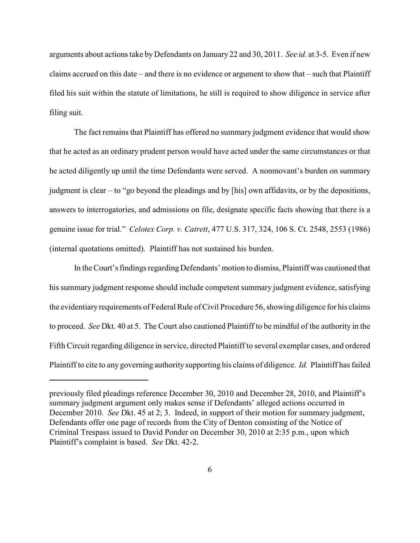arguments about actions take by Defendants on January 22 and 30, 2011. *See id.* at 3-5. Even if new claims accrued on this date – and there is no evidence or argument to show that – such that Plaintiff filed his suit within the statute of limitations, he still is required to show diligence in service after filing suit.

The fact remains that Plaintiff has offered no summary judgment evidence that would show that he acted as an ordinary prudent person would have acted under the same circumstances or that he acted diligently up until the time Defendants were served. A nonmovant's burden on summary judgment is clear – to "go beyond the pleadings and by [his] own affidavits, or by the depositions, answers to interrogatories, and admissions on file, designate specific facts showing that there is a genuine issue for trial." *Celotex Corp. v. Catrett*, 477 U.S. 317, 324, 106 S. Ct. 2548, 2553 (1986) (internal quotations omitted). Plaintiff has not sustained his burden.

In the Court's findings regarding Defendants' motion to dismiss, Plaintiff was cautioned that his summary judgment response should include competent summary judgment evidence, satisfying the evidentiary requirements of Federal Rule of Civil Procedure 56, showing diligence for his claims to proceed. *See* Dkt. 40 at 5. The Court also cautioned Plaintiff to be mindful of the authority in the Fifth Circuit regarding diligence in service, directed Plaintiff to several exemplar cases, and ordered Plaintiff to cite to any governing authority supporting his claims of diligence. *Id.* Plaintiff has failed

previously filed pleadings reference December 30, 2010 and December 28, 2010, and Plaintiff's summary judgment argument only makes sense if Defendants' alleged actions occurred in December 2010. *See* Dkt. 45 at 2; 3. Indeed, in support of their motion for summary judgment, Defendants offer one page of records from the City of Denton consisting of the Notice of Criminal Trespass issued to David Ponder on December 30, 2010 at 2:35 p.m., upon which Plaintiff's complaint is based. *See* Dkt. 42-2.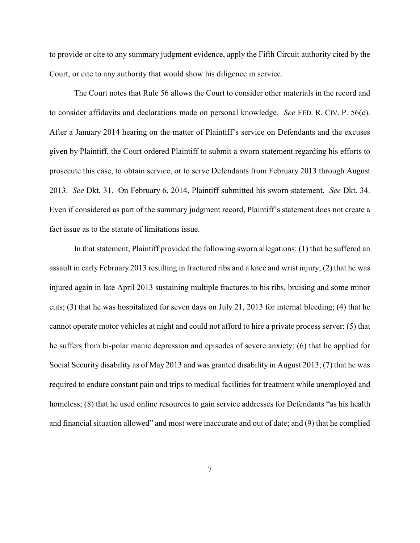to provide or cite to any summary judgment evidence, apply the Fifth Circuit authority cited by the Court, or cite to any authority that would show his diligence in service.

The Court notes that Rule 56 allows the Court to consider other materials in the record and to consider affidavits and declarations made on personal knowledge. *See* FED. R. CIV. P. 56(c). After a January 2014 hearing on the matter of Plaintiff's service on Defendants and the excuses given by Plaintiff, the Court ordered Plaintiff to submit a sworn statement regarding his efforts to prosecute this case, to obtain service, or to serve Defendants from February 2013 through August 2013. *See* Dkt. 31. On February 6, 2014, Plaintiff submitted his sworn statement. *See* Dkt. 34. Even if considered as part of the summary judgment record, Plaintiff's statement does not create a fact issue as to the statute of limitations issue.

In that statement, Plaintiff provided the following sworn allegations: (1) that he suffered an assault in early February 2013 resulting in fractured ribs and a knee and wrist injury; (2) that he was injured again in late April 2013 sustaining multiple fractures to his ribs, bruising and some minor cuts; (3) that he was hospitalized for seven days on July 21, 2013 for internal bleeding; (4) that he cannot operate motor vehicles at night and could not afford to hire a private process server; (5) that he suffers from bi-polar manic depression and episodes of severe anxiety; (6) that he applied for Social Security disability as of May 2013 and was granted disability in August 2013; (7) that he was required to endure constant pain and trips to medical facilities for treatment while unemployed and homeless; (8) that he used online resources to gain service addresses for Defendants "as his health" and financial situation allowed" and most were inaccurate and out of date; and (9) that he complied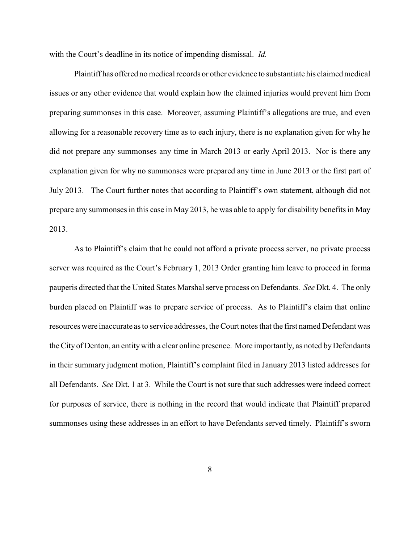with the Court's deadline in its notice of impending dismissal. *Id.*

Plaintiff has offered no medical records or other evidence to substantiate his claimed medical issues or any other evidence that would explain how the claimed injuries would prevent him from preparing summonses in this case. Moreover, assuming Plaintiff's allegations are true, and even allowing for a reasonable recovery time as to each injury, there is no explanation given for why he did not prepare any summonses any time in March 2013 or early April 2013. Nor is there any explanation given for why no summonses were prepared any time in June 2013 or the first part of July 2013. The Court further notes that according to Plaintiff's own statement, although did not prepare any summonses in this case in May 2013, he was able to apply for disability benefits in May 2013.

As to Plaintiff's claim that he could not afford a private process server, no private process server was required as the Court's February 1, 2013 Order granting him leave to proceed in forma pauperis directed that the United States Marshal serve process on Defendants. *See* Dkt. 4. The only burden placed on Plaintiff was to prepare service of process. As to Plaintiff's claim that online resources were inaccurate as to service addresses, the Court notes that the first named Defendant was the City of Denton, an entitywith a clear online presence. More importantly, as noted byDefendants in their summary judgment motion, Plaintiff's complaint filed in January 2013 listed addresses for all Defendants. *See* Dkt. 1 at 3. While the Court is not sure that such addresses were indeed correct for purposes of service, there is nothing in the record that would indicate that Plaintiff prepared summonses using these addresses in an effort to have Defendants served timely. Plaintiff's sworn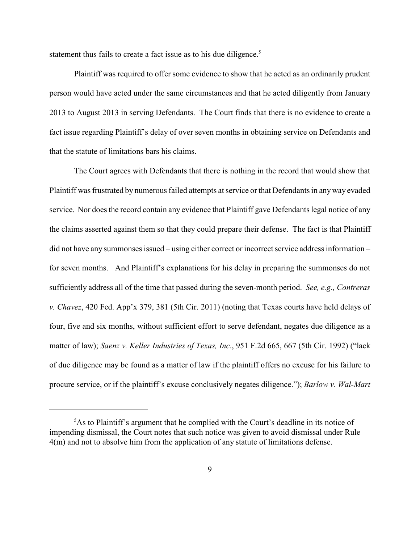statement thus fails to create a fact issue as to his due diligence.<sup>5</sup>

Plaintiff was required to offer some evidence to show that he acted as an ordinarily prudent person would have acted under the same circumstances and that he acted diligently from January 2013 to August 2013 in serving Defendants. The Court finds that there is no evidence to create a fact issue regarding Plaintiff's delay of over seven months in obtaining service on Defendants and that the statute of limitations bars his claims.

The Court agrees with Defendants that there is nothing in the record that would show that Plaintiff was frustrated by numerous failed attempts at service or that Defendants in any way evaded service. Nor does the record contain any evidence that Plaintiff gave Defendants legal notice of any the claims asserted against them so that they could prepare their defense. The fact is that Plaintiff did not have any summonses issued – using either correct or incorrect service address information – for seven months. And Plaintiff's explanations for his delay in preparing the summonses do not sufficiently address all of the time that passed during the seven-month period. *See, e.g., Contreras v. Chavez*, 420 Fed. App'x 379, 381 (5th Cir. 2011) (noting that Texas courts have held delays of four, five and six months, without sufficient effort to serve defendant, negates due diligence as a matter of law); *Saenz v. Keller Industries of Texas, Inc*., 951 F.2d 665, 667 (5th Cir. 1992) ("lack of due diligence may be found as a matter of law if the plaintiff offers no excuse for his failure to procure service, or if the plaintiff's excuse conclusively negates diligence."); *Barlow v. Wal-Mart*

<sup>&</sup>lt;sup>5</sup>As to Plaintiff's argument that he complied with the Court's deadline in its notice of impending dismissal, the Court notes that such notice was given to avoid dismissal under Rule 4(m) and not to absolve him from the application of any statute of limitations defense.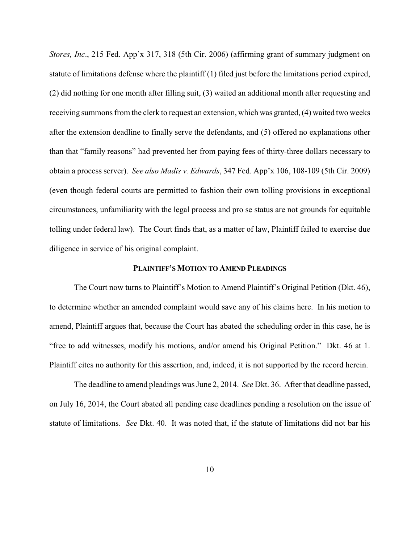*Stores, Inc*., 215 Fed. App'x 317, 318 (5th Cir. 2006) (affirming grant of summary judgment on statute of limitations defense where the plaintiff (1) filed just before the limitations period expired, (2) did nothing for one month after filling suit, (3) waited an additional month after requesting and receiving summons from the clerk to request an extension, which was granted, (4) waited two weeks after the extension deadline to finally serve the defendants, and (5) offered no explanations other than that "family reasons" had prevented her from paying fees of thirty-three dollars necessary to obtain a process server). *See also Madis v. Edwards*, 347 Fed. App'x 106, 108-109 (5th Cir. 2009) (even though federal courts are permitted to fashion their own tolling provisions in exceptional circumstances, unfamiliarity with the legal process and pro se status are not grounds for equitable tolling under federal law). The Court finds that, as a matter of law, Plaintiff failed to exercise due diligence in service of his original complaint.

#### **PLAINTIFF'S MOTION TO AMEND PLEADINGS**

The Court now turns to Plaintiff's Motion to Amend Plaintiff's Original Petition (Dkt. 46), to determine whether an amended complaint would save any of his claims here. In his motion to amend, Plaintiff argues that, because the Court has abated the scheduling order in this case, he is "free to add witnesses, modify his motions, and/or amend his Original Petition." Dkt. 46 at 1. Plaintiff cites no authority for this assertion, and, indeed, it is not supported by the record herein.

The deadline to amend pleadings was June 2, 2014. *See* Dkt. 36. After that deadline passed, on July 16, 2014, the Court abated all pending case deadlines pending a resolution on the issue of statute of limitations. *See* Dkt. 40. It was noted that, if the statute of limitations did not bar his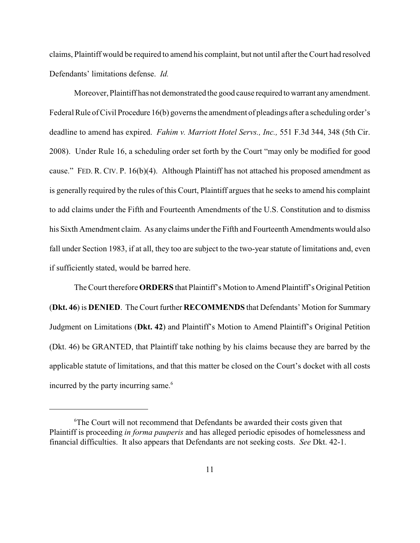claims, Plaintiff would be required to amend his complaint, but not until after the Court had resolved Defendants' limitations defense. *Id.* 

Moreover, Plaintiff has not demonstrated the good cause required towarrant anyamendment. Federal Rule of Civil Procedure 16(b) governs the amendment of pleadings after a scheduling order's deadline to amend has expired. *Fahim v. Marriott Hotel Servs., Inc.,* 551 F.3d 344, 348 (5th Cir. 2008). Under Rule 16, a scheduling order set forth by the Court "may only be modified for good cause." FED. R. CIV. P. 16(b)(4). Although Plaintiff has not attached his proposed amendment as is generally required by the rules of this Court, Plaintiff argues that he seeks to amend his complaint to add claims under the Fifth and Fourteenth Amendments of the U.S. Constitution and to dismiss his Sixth Amendment claim. As any claims under the Fifth and Fourteenth Amendments would also fall under Section 1983, if at all, they too are subject to the two-year statute of limitations and, even if sufficiently stated, would be barred here.

The Court therefore **ORDERS** that Plaintiff's Motion to Amend Plaintiff's Original Petition (**Dkt. 46**) is **DENIED**. The Court further **RECOMMENDS** that Defendants' Motion for Summary Judgment on Limitations (**Dkt. 42**) and Plaintiff's Motion to Amend Plaintiff's Original Petition (Dkt. 46) be GRANTED, that Plaintiff take nothing by his claims because they are barred by the applicable statute of limitations, and that this matter be closed on the Court's docket with all costs incurred by the party incurring same.<sup>6</sup>

<sup>6</sup>The Court will not recommend that Defendants be awarded their costs given that Plaintiff is proceeding *in forma pauperis* and has alleged periodic episodes of homelessness and financial difficulties. It also appears that Defendants are not seeking costs. *See* Dkt. 42-1.